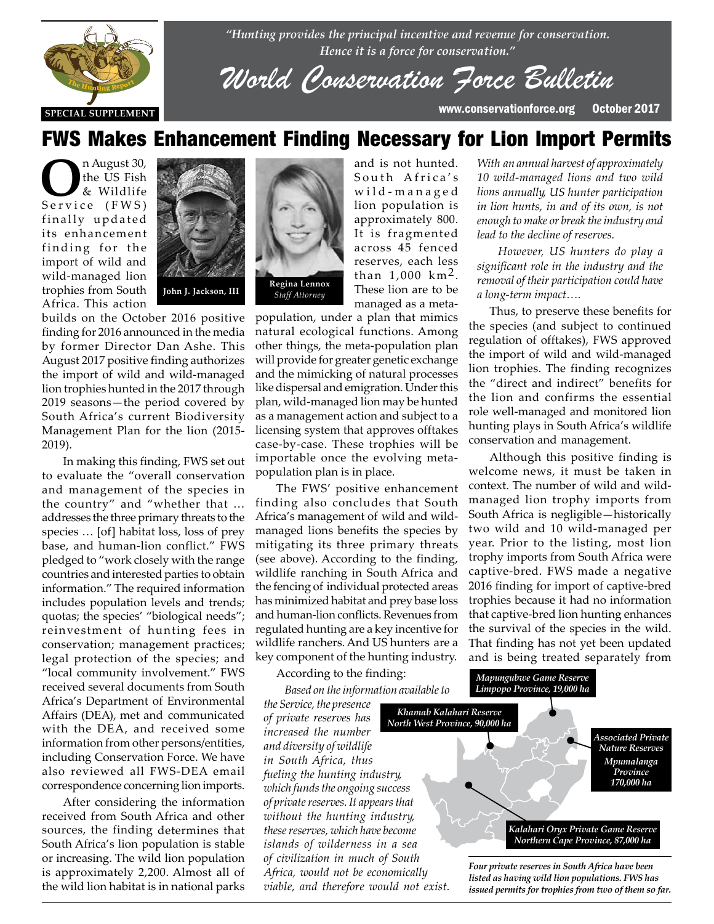

*"Hunting provides the principal incentive and revenue for conservation. Hence it is a force for conservation."*

*World Conservatio[n Force Bulle](http://www.conservationforce.org)tin*

and is not hunted. South Africa's w i l d - m a n a g e d lion population is approximately 800. It is fragmented across 45 fenced reserves, each less than  $1,000 \text{ km}^2$ . These lion are to be

**SPECIAL SUPPLEMENT** www.conservationforce.org October 2017

### FWS Makes Enhancement Finding Necessary for Lion Import Permits

**O**n August 30,<br>
the US Fish<br>
& Wildlife<br>
Service (FWS) the US Fish & Wildlife finally updated its enhancement finding for the import of wild and wild-managed lion trophies from South Africa. This action



builds on the October 2016 positive finding for 2016 announced in the media by former Director Dan Ashe. This August 2017 positive finding authorizes the import of wild and wild-managed lion trophies hunted in the 2017 through 2019 seasons—the period covered by<br>South Africa's current Biodiversity South Africa's current Biodiversity Management Plan for the lion (2015- 2019).

In making this finding, FWS set out<br>to evaluate the "overall conservation to evaluate the "overall conservation and management of the species in the country" and "whether that … addresses the three primary threats to the species … [of] habitat loss, loss of prey base, and human-lion conflict." FWS pledged to "work closely with the range countries and interested parties to obtain information." The required information includes population levels and trends; quotas; the species' "biological needs"; reinvestment of hunting fees in conservation; management practices; legal protection of the species; and "local community involvement." FWS received several documents from South Africa's Department of Environmental Affairs (DEA), met and communicated with the DEA, and received some information from other persons/entities, including Conservation Force. We have also reviewed all FWS-DEA email correspondence concerning lion imports.

> After considering the information received from South Africa and other sources, the finding determines that South Africa's lion population is stable or increasing. The wild lion population is approximately 2,200. Almost all of the wild lion habitat is in national parks



managed as a metapopulation, under a plan that mimics natural ecological functions. Among other things, the meta-population plan will provide for greater genetic exchange and the mimicking of natural processes like dispersal and emigration. Under this plan, wild-managed lion may be hunted as a management action and subject to a licensing system that approves offtakes case-by-case. These trophies will be importable once the evolving metapopulation plan is in place.

The FWS' positive enhancement finding also concludes that South Africa's management of wild and wildmanaged lions benefits the species by mitigating its three primary threats (see above). According to the finding, wildlife ranching in South Africa and the fencing of individual protected areas has minimized habitat and prey base loss and human-lion conflicts. Revenues from regulated hunting are a key incentive for wildlife ranchers. And US hunters are a key component of the hunting industry.

According to the finding:

*Based on the information available to* 

*the Service, the presence of private reserves has increased the number and diversity of wildlife in South Africa, thus fueling the hunting industry, which funds the ongoing success of private reserves. It appears that without the hunting industry, these reserves, which have become islands of wilderness in a sea of civilization in much of South Africa, would not be economically viable, and therefore would not exist.* 

*With an annual harvest of approximately 10 wild-managed lions and two wild lions annually, US hunter participation in lion hunts, in and of its own, is not enough to make or break the industry and lead to the decline of reserves.*

*However, US hunters do play a significant role in the industry and the removal of their participation could have a long-term impact….*

Thus, to preserve these benefits for the species (and subject to continued regulation of offtakes), FWS approved the import of wild and wild-managed lion trophies. The finding recognizes the "direct and indirect" benefits for the lion and confirms the essential role well-managed and monitored lion hunting plays in South Africa's wildlife conservation and management.

Although this positive finding is welcome news, it must be taken in context. The number of wild and wildmanaged lion trophy imports from South Africa is negligible—historically two wild and 10 wild-managed per year. Prior to the listing, most lion trophy imports from South Africa were captive-bred. FWS made a negative 2016 finding for import of captive-bred trophies because it had no information that captive-bred lion hunting enhances the survival of the species in the wild. That finding has not yet been updated and is being treated separately from



*Mapungubwe Game Reserve*

*listed as having wild lion populations. FWS has issued permits for trophies from two of them so far.*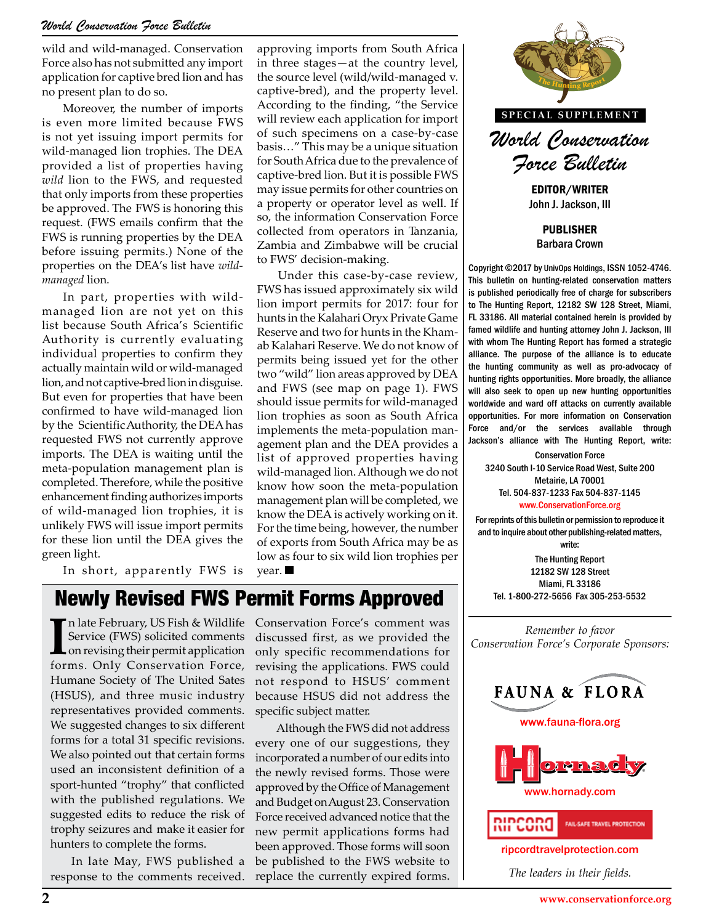wild and wild-managed. Conservation Force also has not submitted any import application for captive bred lion and has no present plan to do so.

Moreover, the number of imports is even more limited because FWS is not yet issuing import permits for wild-managed lion trophies. The DEA provided a list of properties having *wild* lion to the FWS, and requested that only imports from these properties be approved. The FWS is honoring this request. (FWS emails confirm that the FWS is running properties by the DEA before issuing permits.) None of the properties on the DEA's list have *wildmanaged* lion.

In part, properties with wildmanaged lion are not yet on this list because South Africa's Scientific Authority is currently evaluating individual properties to confirm they actually maintain wild or wild-managed lion, and not captive-bred lion in disguise. But even for properties that have been confirmed to have wild-managed lion by the Scientific Authority, the DEA has requested FWS not currently approve imports. The DEA is waiting until the meta-population management plan is completed. Therefore, while the positive enhancement finding authorizes imports of wild-managed lion trophies, it is unlikely FWS will issue import permits for these lion until the DEA gives the green light.

In short, apparently FWS is

approving imports from South Africa in three stages—at the country level, the source level (wild/wild-managed v. captive-bred), and the property level. According to the finding, "the Service will review each application for import of such specimens on a case-by-case basis…" This may be a unique situation for South Africa due to the prevalence of captive-bred lion. But it is possible FWS may issue permits for other countries on a property or operator level as well. If so, the information Conservation Force collected from operators in Tanzania, Zambia and Zimbabwe will be crucial to FWS' decision-making.

Under this case-by-case review, FWS has issued approximately six wild lion import permits for 2017: four for hunts in the Kalahari Oryx Private Game Reserve and two for hunts in the Khamab Kalahari Reserve. We do not know of permits being issued yet for the other two "wild" lion areas approved by DEA and FWS (see map on page 1). FWS should issue permits for wild-managed lion trophies as soon as South Africa implements the meta-population management plan and the DEA provides a list of approved properties having wild-managed lion. Although we do not know how soon the meta-population management plan will be completed, we know the DEA is actively working on it. For the time being, however, the number of exports from South Africa may be as low as four to six wild lion trophies per year.

# Newly Revised FWS Permit Forms Approved

In late February, US Fish & Wildlife Service (FWS) solicited comments on revising their permit application forms. Only Conservation Force, n late February, US Fish & Wildlife Service (FWS) solicited comments on revising their permit application Humane Society of The United Sates (HSUS), and three music industry representatives provided comments. We suggested changes to six different forms for a total 31 specific revisions. We also pointed out that certain forms used an inconsistent definition of a sport-hunted "trophy" that conflicted with the published regulations. We suggested edits to reduce the risk of trophy seizures and make it easier for hunters to complete the forms.

In late May, FWS published a response to the comments received. Conservation Force's comment was discussed first, as we provided the only specific recommendations for revising the applications. FWS could not respond to HSUS' comment because HSUS did not address the specific subject matter.

Although the FWS did not address every one of our suggestions, they incorporated a number of our edits into the newly revised forms. Those were approved by the Office of Management and Budget on August 23. Conservation Force received advanced notice that the new permit applications forms had been approved. Those forms will soon be published to the FWS website to replace the currently expired forms.



John J. Jackson, III

PUBLISHER Barbara Crown

Copyright ©2017 by UnivOps Holdings, ISSN 1052-4746. This bulletin on hunting-related conservation matters is published periodically free of charge for subscribers to The Hunting Report, 12182 SW 128 Street, Miami, FL 33186. All material contained herein is provided by famed wildlife and hunting attorney John J. Jackson, III with whom The Hunting Report has formed a strategic alliance. The purpose of the alliance is to educate the hunting community as well as pro-advocacy of hunting rights opportunities. More broadly, the alliance will also seek to open up new hunting opportunities or wild-managed worldwide and ward off attacks on currently available as South Africa opportunities. For more information on Conservation opportunities. For more information on Conservation Force and/or the services available through Jackson's alliance with The Hunting Report, write:

Conservation Force perties having **conservation Force**<br>hough we do not 3240 South I-10 Service Road West, Suite 200 Metairie, LA 70001 Tel. 504-837-1233 Fax 504-837-1145 [www.ConservationForce.org](http://www.ConservationForce.org)

> For reprints of this bulletin or permission to reproduce it and to inquire about other publishing-related matters, write: The Hunting Report

12182 SW 128 Street Miami, FL 33186 Tel. 1-800-272-5656 Fax 305-253-5532

*Remember to favor Conservation Force's Corporate Sponsors:*



[ripcordtravelprotection.com](http://ripcordtravelprotection.com)

**RIPCORD** 

*The leaders in their fields.*

FAIL-SAFE TRAVEL PROTECTION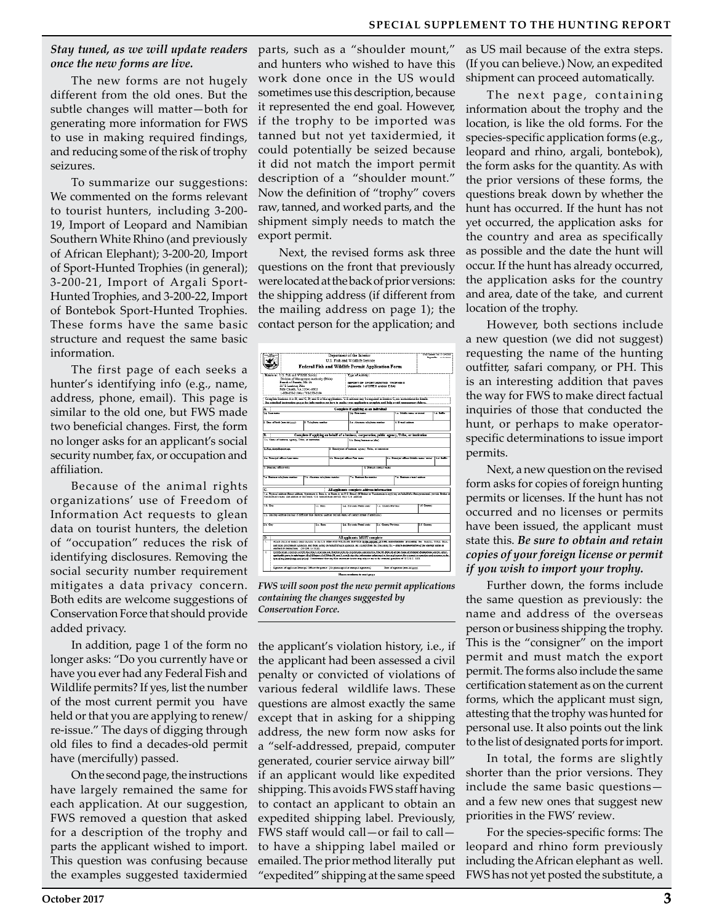#### **SPECIAL SUPPLEMENT TO THE HUNTING REPORT**

#### *Stay tuned, as we will update readers once the new forms are live.*

The new forms are not hugely different from the old ones. But the subtle changes will matter—both for generating more information for FWS to use in making required findings, and reducing some of the risk of trophy seizures.

To summarize our suggestions: We commented on the forms relevant to tourist hunters, including 3-200- 19, Import of Leopard and Namibian Southern White Rhino (and previously of African Elephant); 3-200-20, Import of Sport-Hunted Trophies (in general); 3-200-21, Import of Argali Sport-Hunted Trophies, and 3-200-22, Import of Bontebok Sport-Hunted Trophies. These forms have the same basic structure and request the same basic information.

The first page of each seeks a hunter's identifying info (e.g., name, address, phone, email). This page is similar to the old one, but FWS made two beneficial changes. First, the form no longer asks for an applicant's social security number, fax, or occupation and affiliation.

Because of the animal rights organizations' use of Freedom of Information Act requests to glean data on tourist hunters, the deletion of "occupation" reduces the risk of identifying disclosures. Removing the social security number requirement mitigates a data privacy concern. Both edits are welcome suggestions of Conservation Force that should provide added privacy.

In addition, page 1 of the form no longer asks: "Do you currently have or have you ever had any Federal Fish and Wildlife permits? If yes, list the number of the most current permit you have held or that you are applying to renew/ re-issue." The days of digging through old files to find a decades-old permit have (mercifully) passed.

On the second page, the instructions have largely remained the same for each application. At our suggestion, FWS removed a question that asked for a description of the trophy and parts the applicant wished to import. This question was confusing because the examples suggested taxidermied

parts, such as a "shoulder mount," and hunters who wished to have this work done once in the US would sometimes use this description, because it represented the end goal. However, if the trophy to be imported was tanned but not yet taxidermied, it could potentially be seized because it did not match the import permit description of a "shoulder mount." Now the definition of "trophy" covers raw, tanned, and worked parts, and the shipment simply needs to match the export permit.

Next, the revised forms ask three questions on the front that previously were located at the back of prior versions: the shipping address (if different from the mailing address on page 1); the contact person for the application; and

|                                                                                                                                                                                                                                                                                                                                            | Department of the Interior<br>U.S. Fish and Wildlife Service.<br>Federal Fish and Wildlife Permit Application Form |                                                                                                                                                                                                                                                                                                                                                                                                                                 |                                             |  |                                                                                             |                                                            |                      |                             |                                                                    | <b>FOR SHARE WAS STORAGED</b><br>Departure expenses |  |
|--------------------------------------------------------------------------------------------------------------------------------------------------------------------------------------------------------------------------------------------------------------------------------------------------------------------------------------------|--------------------------------------------------------------------------------------------------------------------|---------------------------------------------------------------------------------------------------------------------------------------------------------------------------------------------------------------------------------------------------------------------------------------------------------------------------------------------------------------------------------------------------------------------------------|---------------------------------------------|--|---------------------------------------------------------------------------------------------|------------------------------------------------------------|----------------------|-----------------------------|--------------------------------------------------------------------|-----------------------------------------------------|--|
| Roturn to: U.S. Fish and Wildlife Service<br>Division of Management Authority (DMA)<br>Beards of Permits, MS: 14<br>5275 Louisum Pike<br>Falls Church, VA 22041-3103<br>120823582104-47033582104<br>Complete Sections A or B, and C, D, and E of this application. U.S. address may be required in Section C, nor instructions for details |                                                                                                                    |                                                                                                                                                                                                                                                                                                                                                                                                                                 |                                             |  | Type of Actruit:<br>IMPORT OF APORTJUINTED TROPHIEA<br>(Appendix 1 of CITE \$ and/or E \$A) |                                                            |                      |                             |                                                                    |                                                     |  |
| See attacked instruction gages for information on how to make your application complete and help avoid unnecessary delays.                                                                                                                                                                                                                 |                                                                                                                    |                                                                                                                                                                                                                                                                                                                                                                                                                                 |                                             |  |                                                                                             |                                                            |                      |                             |                                                                    |                                                     |  |
| п                                                                                                                                                                                                                                                                                                                                          |                                                                                                                    |                                                                                                                                                                                                                                                                                                                                                                                                                                 |                                             |  |                                                                                             | Complete if applying as an individual                      |                      |                             |                                                                    |                                                     |  |
| La Lansano                                                                                                                                                                                                                                                                                                                                 |                                                                                                                    |                                                                                                                                                                                                                                                                                                                                                                                                                                 |                                             |  | <b>CAL SHE NAME</b>                                                                         |                                                            |                      | 1.4. Studio same or initial |                                                                    | 14 Miles                                            |  |
| 1. Telephone number<br>2. Date of hirsh (mm. dd yyyy)                                                                                                                                                                                                                                                                                      |                                                                                                                    |                                                                                                                                                                                                                                                                                                                                                                                                                                 |                                             |  | 2.1. Alternate telephone number                                                             |                                                            |                      | 4 E-mail address            |                                                                    |                                                     |  |
| ΠŦ.                                                                                                                                                                                                                                                                                                                                        |                                                                                                                    | Complete if applying on behalf of a business, corporation, public agency, Tribe, or institution                                                                                                                                                                                                                                                                                                                                 |                                             |  |                                                                                             |                                                            |                      |                             |                                                                    |                                                     |  |
| La Nano of business areaen. Tribe, or institution.                                                                                                                                                                                                                                                                                         |                                                                                                                    |                                                                                                                                                                                                                                                                                                                                                                                                                                 |                                             |  |                                                                                             | 1.b. Dated business as (dba)                               |                      |                             |                                                                    |                                                     |  |
|                                                                                                                                                                                                                                                                                                                                            |                                                                                                                    |                                                                                                                                                                                                                                                                                                                                                                                                                                 |                                             |  |                                                                                             |                                                            |                      |                             |                                                                    |                                                     |  |
| CLOSE ROOM AND REAL                                                                                                                                                                                                                                                                                                                        |                                                                                                                    |                                                                                                                                                                                                                                                                                                                                                                                                                                 |                                             |  |                                                                                             | 3. Description of business, agency, Titler, or institution |                      |                             |                                                                    |                                                     |  |
| 4 a Senatral officer Lag range                                                                                                                                                                                                                                                                                                             |                                                                                                                    |                                                                                                                                                                                                                                                                                                                                                                                                                                 |                                             |  | 4h. Principal officer First name.                                                           |                                                            |                      |                             | 4.c. Stractival advance Modello manual transal<br><b>GA Suffer</b> |                                                     |  |
| 5. Principal educat title                                                                                                                                                                                                                                                                                                                  |                                                                                                                    |                                                                                                                                                                                                                                                                                                                                                                                                                                 |                                             |  |                                                                                             | 6. Primary contact name.                                   |                      |                             |                                                                    |                                                     |  |
|                                                                                                                                                                                                                                                                                                                                            | 7.1. Surveys tricroggic manager<br>7.b. Alternate televisione mander                                               |                                                                                                                                                                                                                                                                                                                                                                                                                                 |                                             |  | 7.c. Stategie for number                                                                    |                                                            |                      |                             | 1.4 Supremo establishing                                           |                                                     |  |
|                                                                                                                                                                                                                                                                                                                                            |                                                                                                                    |                                                                                                                                                                                                                                                                                                                                                                                                                                 |                                             |  |                                                                                             |                                                            |                      |                             |                                                                    |                                                     |  |
| ſC.<br>15. Franced address fibront address American to State 1, or Room to no R.O. Second of Entire or Tandermin is arriving on behalf of a decisional records Sectors or                                                                                                                                                                  |                                                                                                                    |                                                                                                                                                                                                                                                                                                                                                                                                                                 | All applicants complete address information |  |                                                                                             |                                                            |                      |                             |                                                                    |                                                     |  |
|                                                                                                                                                                                                                                                                                                                                            |                                                                                                                    | Taxodemulat's name and address in this block: U.S. humors must provide their U.S. address).                                                                                                                                                                                                                                                                                                                                     |                                             |  |                                                                                             |                                                            |                      |                             |                                                                    |                                                     |  |
| 1.5 City<br>1. c. State                                                                                                                                                                                                                                                                                                                    |                                                                                                                    |                                                                                                                                                                                                                                                                                                                                                                                                                                 |                                             |  | U.S. The code Postal code:                                                                  |                                                            | 1.c. Causey Devince  |                             | 1. Country                                                         |                                                     |  |
| 2.a. Mailing Address (include if different than physical address; include name of contact person if applicable)                                                                                                                                                                                                                            |                                                                                                                    |                                                                                                                                                                                                                                                                                                                                                                                                                                 |                                             |  |                                                                                             |                                                            |                      |                             |                                                                    |                                                     |  |
| 26Cq                                                                                                                                                                                                                                                                                                                                       |                                                                                                                    |                                                                                                                                                                                                                                                                                                                                                                                                                                 | 2 c. State                                  |  | 2.4 Ein code Fortal code:                                                                   |                                                            | 2.c. Cause: Bostocc. |                             | 14 Causey                                                          |                                                     |  |
|                                                                                                                                                                                                                                                                                                                                            |                                                                                                                    |                                                                                                                                                                                                                                                                                                                                                                                                                                 |                                             |  |                                                                                             |                                                            |                      |                             |                                                                    |                                                     |  |
| D.                                                                                                                                                                                                                                                                                                                                         |                                                                                                                    | Amach check or money order payable to the U.S. FIEM AND WILDLESS SERVINS (p. Jpp. appropriated and ARIA money fundables generating the Federal, Tehal, Sene,<br>and local commences accepted and those acting on behalf of such accepted, me exempt from the processing the - symple decompression of fee exempt manne or<br>continued by increasedoms (50 CFR 13.11(d))                                                        |                                             |  |                                                                                             | All applicants MUST complete                               |                      |                             |                                                                    |                                                     |  |
|                                                                                                                                                                                                                                                                                                                                            |                                                                                                                    | Comflexion Livenin comfletion lines madant an fundament de registers comtexed in The St. Day, 12 af the Code of Redent Regulation and the other<br>αχθολίς ρεα/ο πλόσμα. Α εξέλερα. Σεξ Σόμ δι. απί λιαθε ότι σε σεσαστο πλοιουάν ότι ο μεχαινικο. Ας ο αυτιλικοποίου σόμ συνερισμός<br>hoppofpsychopology.opd-bologi. I undermand that any false statement herein may subject me to the extension genalties of 15 U.S.C. 1001. |                                             |  |                                                                                             |                                                            |                      |                             |                                                                    |                                                     |  |
|                                                                                                                                                                                                                                                                                                                                            |                                                                                                                    |                                                                                                                                                                                                                                                                                                                                                                                                                                 |                                             |  |                                                                                             |                                                            |                      |                             |                                                                    |                                                     |  |
|                                                                                                                                                                                                                                                                                                                                            |                                                                                                                    | Ronange of awficiate Rincipal Officer for remain (Na regenerated or gammed government)                                                                                                                                                                                                                                                                                                                                          |                                             |  |                                                                                             |                                                            |                      |                             | Date: of government and did your fi-                               |                                                     |  |

*FWS will soon post the new permit applications containing the changes suggested by Conservation Force.*

the applicant's violation history, i.e., if the applicant had been assessed a civil penalty or convicted of violations of various federal wildlife laws. These questions are almost exactly the same except that in asking for a shipping address, the new form now asks for a "self-addressed, prepaid, computer generated, courier service airway bill" if an applicant would like expedited shipping. This avoids FWS staff having to contact an applicant to obtain an expedited shipping label. Previously, FWS staff would call—or fail to call to have a shipping label mailed or emailed. The prior method literally put "expedited" shipping at the same speed as US mail because of the extra steps. (If you can believe.) Now, an expedited shipment can proceed automatically.

The next page, containing information about the trophy and the location, is like the old forms. For the species-specific application forms (e.g., leopard and rhino, argali, bontebok), the form asks for the quantity. As with the prior versions of these forms, the questions break down by whether the hunt has occurred. If the hunt has not yet occurred, the application asks for the country and area as specifically as possible and the date the hunt will occur. If the hunt has already occurred, the application asks for the country and area, date of the take, and current location of the trophy.

However, both sections include a new question (we did not suggest) requesting the name of the hunting outfitter, safari company, or PH. This is an interesting addition that paves the way for FWS to make direct factual inquiries of those that conducted the hunt, or perhaps to make operatorspecific determinations to issue import permits.

Next, a new question on the revised form asks for copies of foreign hunting permits or licenses. If the hunt has not occurred and no licenses or permits have been issued, the applicant must state this. *Be sure to obtain and retain copies of your foreign license or permit if you wish to import your trophy.*

Further down, the forms include the same question as previously: the name and address of the overseas person or business shipping the trophy. This is the "consigner" on the import permit and must match the export permit. The forms also include the same certification statement as on the current forms, which the applicant must sign, attesting that the trophy was hunted for personal use. It also points out the link to the list of designated ports forimport.

In total, the forms are slightly shorter than the prior versions. They include the same basic questions and a few new ones that suggest new priorities in the FWS' review.

For the species-specific forms: The leopard and rhino form previously including the African elephant as well. FWS has not yet posted the substitute, a